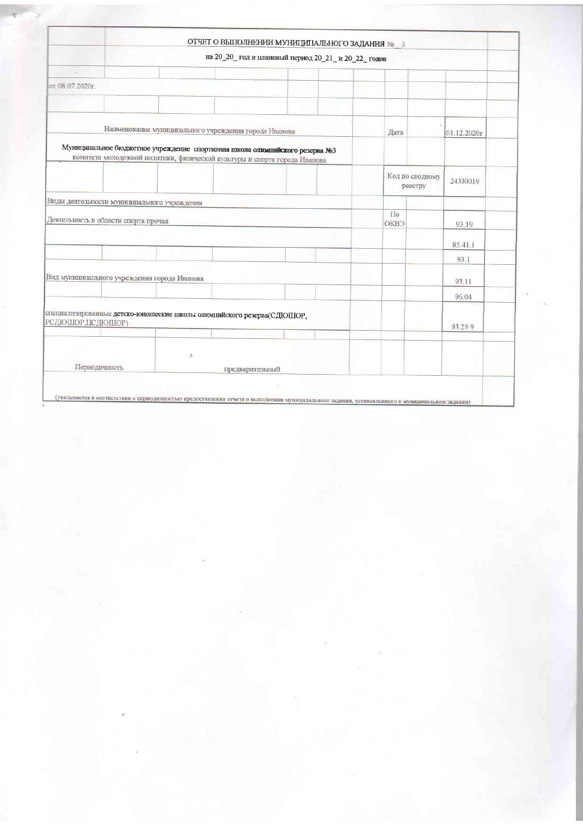|                                                       |                                             |  | на 20_20_ год и плановый период 20_21_ и 20_22_ годов                                                                                                    |  |                        |                            |             |
|-------------------------------------------------------|---------------------------------------------|--|----------------------------------------------------------------------------------------------------------------------------------------------------------|--|------------------------|----------------------------|-------------|
| (0)                                                   |                                             |  |                                                                                                                                                          |  |                        |                            |             |
| от 08.07.2020г.                                       |                                             |  |                                                                                                                                                          |  |                        |                            |             |
|                                                       |                                             |  |                                                                                                                                                          |  |                        |                            |             |
|                                                       |                                             |  |                                                                                                                                                          |  |                        |                            |             |
| Наименование муниципального учреждения города Иванова |                                             |  |                                                                                                                                                          |  | Дата                   |                            | 01.12.2020r |
|                                                       |                                             |  | Муниципальное бюджетное учреждение спортивная школа однышийского резерва №3<br>комитета молодежной политики, физической культуры и спорта города Иванова |  |                        |                            |             |
|                                                       |                                             |  |                                                                                                                                                          |  |                        | Код по сводному<br>реестру | 243J0019    |
|                                                       | Виды деятельности муниципального учреждения |  |                                                                                                                                                          |  |                        |                            |             |
|                                                       | Деятельность в области спорта прочая        |  |                                                                                                                                                          |  | Пo<br>OKB <sub>3</sub> |                            | 93.19       |
|                                                       |                                             |  |                                                                                                                                                          |  |                        |                            | 85.41.1     |
|                                                       |                                             |  |                                                                                                                                                          |  |                        |                            | 93.1        |
| Вид муниципального учреждения города Иванова          |                                             |  |                                                                                                                                                          |  |                        | 93.11                      |             |
|                                                       |                                             |  |                                                                                                                                                          |  |                        |                            | 96.04       |
| РСДЮШОР,ЦСДЮШОР)                                      |                                             |  | специализированные детско-юношеские школы опимпийского резерва(СДЮПЮР,                                                                                   |  |                        |                            | 93.29.9     |
|                                                       |                                             |  |                                                                                                                                                          |  |                        |                            |             |
| 湍<br>Периодичность<br>предварительный                 |                                             |  |                                                                                                                                                          |  |                        |                            |             |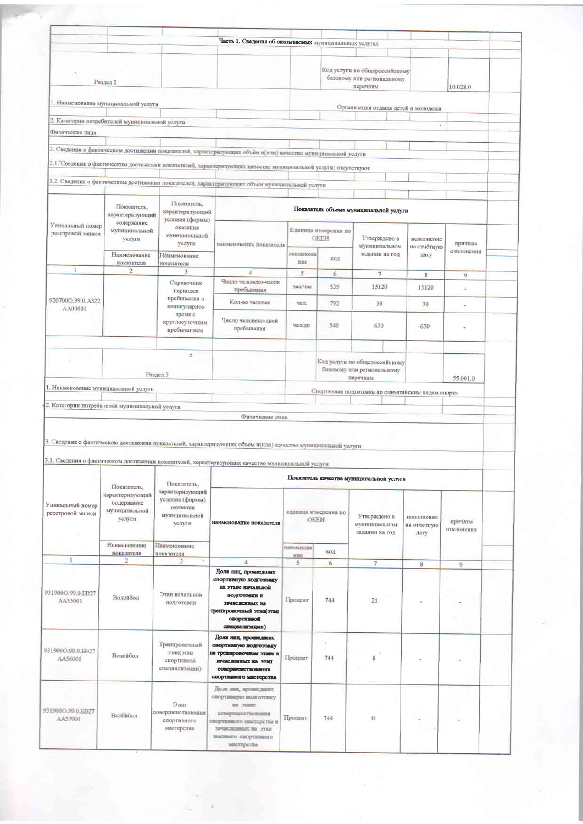|                                                                                 |                                                |                                     | Часть 1. Сведения об оказываемых муниципильных услугах                                                                                                                                                            |                                        |                      |                                                                         |                                   |                          |  |
|---------------------------------------------------------------------------------|------------------------------------------------|-------------------------------------|-------------------------------------------------------------------------------------------------------------------------------------------------------------------------------------------------------------------|----------------------------------------|----------------------|-------------------------------------------------------------------------|-----------------------------------|--------------------------|--|
|                                                                                 | Раздел 1                                       |                                     |                                                                                                                                                                                                                   |                                        |                      | Код услуги по общероссийскому<br>базовому или региональному<br>перечиям |                                   | 10.028.0                 |  |
|                                                                                 | 1. Наименование муниципальной услуги           |                                     |                                                                                                                                                                                                                   |                                        |                      | Организация отдыха детей и молодежи                                     |                                   |                          |  |
|                                                                                 | 2. Категорин потребителей муниципальной услуги |                                     |                                                                                                                                                                                                                   |                                        |                      |                                                                         |                                   |                          |  |
| Физические лина                                                                 |                                                |                                     |                                                                                                                                                                                                                   |                                        |                      |                                                                         | $\mathbf{r}$                      |                          |  |
|                                                                                 |                                                |                                     |                                                                                                                                                                                                                   |                                        |                      |                                                                         |                                   |                          |  |
|                                                                                 |                                                |                                     | 3. Сведення о фактическом достижении показателей, характернтующих объём и(или) качество муниципальной услуги                                                                                                      |                                        |                      |                                                                         |                                   |                          |  |
|                                                                                 |                                                |                                     | 3.1. Сведения о фактическом достижении показателей, характеризующих качество муниципальной услуги: отсутствуют                                                                                                    |                                        |                      |                                                                         |                                   |                          |  |
|                                                                                 |                                                |                                     | 3.2. Сведения о фактическом достижении показателей, характеризующих объем муниципальной услуги                                                                                                                    |                                        |                      |                                                                         |                                   |                          |  |
|                                                                                 |                                                |                                     |                                                                                                                                                                                                                   |                                        |                      |                                                                         |                                   |                          |  |
|                                                                                 | Показатель,                                    | Показатель,                         |                                                                                                                                                                                                                   |                                        |                      |                                                                         |                                   |                          |  |
|                                                                                 | характеризующий                                | характеризующий<br>условия (формы)  |                                                                                                                                                                                                                   | Показатель объема муниципальной услуги |                      |                                                                         |                                   |                          |  |
| Уникальный номер<br>ресстровой записи                                           | содержанне<br>муннципальной                    | оказания                            |                                                                                                                                                                                                                   |                                        | Единица измерення по |                                                                         |                                   |                          |  |
|                                                                                 | уолуги                                         | муниципальной<br>уолуги             | наименование показателя                                                                                                                                                                                           |                                        | <b>OKEH</b>          | Утверждено в                                                            | неполнение                        | причина                  |  |
|                                                                                 | Наименование                                   | Наименование                        |                                                                                                                                                                                                                   | наименова                              |                      | муннципальном<br>задании на год                                         | на отчетную<br><b>ЛИТV</b>        | отклонения               |  |
| 1                                                                               | показателя                                     | показатели                          |                                                                                                                                                                                                                   | <b>HHC</b>                             | код                  |                                                                         |                                   |                          |  |
|                                                                                 | $\overline{2}$                                 | $\overline{3}$                      | $\overline{4}$<br>Чиоло человеко-часов                                                                                                                                                                            | 5                                      | $\boldsymbol{6}$     | $\tau$                                                                  | $\bf 8$                           | $\mathcal{Q}$            |  |
|                                                                                 |                                                | Справочник<br>пернодов              | пребывания                                                                                                                                                                                                        | челічас                                | 539                  | 15120                                                                   | 15120                             | u                        |  |
| 920700Q.99.0.A322                                                               |                                                | пребывания в                        | Кол-во человек                                                                                                                                                                                                    | <b>SCIL</b>                            | 792                  | 30                                                                      | 30                                | $\overline{\phantom{a}}$ |  |
| AA00001                                                                         |                                                | каннкулярное<br>время с             |                                                                                                                                                                                                                   |                                        |                      |                                                                         |                                   |                          |  |
|                                                                                 |                                                | круглосуточным                      | Чноло человеко-двей<br>пребывания                                                                                                                                                                                 | чел/дн                                 | 540                  | 630                                                                     | 630                               |                          |  |
|                                                                                 |                                                | пребыванием                         |                                                                                                                                                                                                                   |                                        |                      |                                                                         |                                   |                          |  |
|                                                                                 |                                                | 添                                   |                                                                                                                                                                                                                   |                                        |                      |                                                                         |                                   |                          |  |
|                                                                                 |                                                |                                     |                                                                                                                                                                                                                   |                                        |                      | Код услуги по общероссийскому                                           |                                   |                          |  |
|                                                                                 |                                                | Раздел 3                            |                                                                                                                                                                                                                   |                                        |                      | базовому или региональному<br>перечням                                  |                                   | 55.001.0                 |  |
|                                                                                 | 1. Наименование муниципальной услуги           |                                     |                                                                                                                                                                                                                   |                                        |                      |                                                                         |                                   |                          |  |
|                                                                                 |                                                |                                     |                                                                                                                                                                                                                   |                                        |                      | Спортнаная подготовка по одимпийским видам спорта                       |                                   |                          |  |
|                                                                                 | 2. Категории потребителей муниципальной услуги |                                     | Физические лица                                                                                                                                                                                                   |                                        |                      |                                                                         |                                   |                          |  |
|                                                                                 |                                                |                                     | 3. Сведения о фактическом достижении показателей, характеризующих объём и(или) качество муниципальной услуги<br>3.1. Сведения о фактическом достижении показателей, характеризующих качество муниципальной услуги |                                        |                      | Показатель качества муниципальной услуги                                |                                   |                          |  |
|                                                                                 | Показатель,                                    | Показатель,<br>характеризующий      |                                                                                                                                                                                                                   |                                        |                      |                                                                         |                                   |                          |  |
|                                                                                 | характеризующий<br>содержанно                  | условки (формы)                     |                                                                                                                                                                                                                   |                                        |                      |                                                                         |                                   |                          |  |
|                                                                                 | муниципальной<br>уолуги                        | оказания<br>муниципальной<br>услуги | нанменование показателя                                                                                                                                                                                           | сдиница измерения по<br>OKEH           |                      | Утверждено в<br>муниципальном<br>задании на год                         | нополнение<br>на отчетную<br>дату | причина<br>отклонения    |  |
|                                                                                 | Наименование                                   | <b>Наименованне</b>                 |                                                                                                                                                                                                                   | наименова]                             | код                  |                                                                         |                                   |                          |  |
| 1                                                                               | показателя<br>2                                | показателя<br>$\mathfrak{Z}$        | 4                                                                                                                                                                                                                 | HHC<br>s.                              | 6                    | $\tau$                                                                  |                                   |                          |  |
|                                                                                 |                                                |                                     | Доля лиц, проинедших                                                                                                                                                                                              |                                        |                      |                                                                         | 8                                 | 9                        |  |
|                                                                                 |                                                |                                     | спортивную подготовку<br>на этапе начальной                                                                                                                                                                       |                                        |                      |                                                                         |                                   |                          |  |
| AA55001                                                                         | Волейбол                                       | Этап начальной                      | подготован и                                                                                                                                                                                                      | Процент                                | 744                  | 21                                                                      |                                   |                          |  |
|                                                                                 |                                                | ПОДГОТОВКИ                          | зачисленных на<br>тренировочный этап(этап                                                                                                                                                                         |                                        |                      |                                                                         |                                   |                          |  |
|                                                                                 |                                                |                                     | спортивной                                                                                                                                                                                                        |                                        |                      |                                                                         |                                   |                          |  |
|                                                                                 |                                                |                                     | специализации)                                                                                                                                                                                                    |                                        |                      |                                                                         |                                   |                          |  |
|                                                                                 |                                                | Тренировочный                       | Доли лиц, врошедших<br>спортиватую подготовку                                                                                                                                                                     |                                        |                      |                                                                         |                                   |                          |  |
| AA56001                                                                         | Волейбол                                       | патс пате<br>спортивной             | на треавровочном этане и<br><b>REVISIONERISTS NO. 3780</b>                                                                                                                                                        | Процент                                | 744                  | 8                                                                       |                                   |                          |  |
|                                                                                 |                                                | специализации)                      | совершенствования                                                                                                                                                                                                 |                                        |                      |                                                                         |                                   |                          |  |
|                                                                                 |                                                |                                     | спортивного мастерства                                                                                                                                                                                            |                                        |                      |                                                                         |                                   |                          |  |
| Уникальный номер<br>реестровой записи<br>931900O.99.0.EB27<br>931900O.99.0.EB27 |                                                |                                     | Доля лин, прошедник                                                                                                                                                                                               |                                        |                      |                                                                         |                                   |                          |  |
|                                                                                 |                                                | $\Im$ <i>ran</i>                    | спортивную подготовку<br><b>BR 312800</b>                                                                                                                                                                         |                                        |                      |                                                                         |                                   |                          |  |
| 931900CL99.0.EB27<br>AA57001                                                    | Воленбол                                       | соверхиенствования<br>спортивного   | совершенствования<br>спортивного мастерства и                                                                                                                                                                     | Процент                                | 744                  | $\bf{0}$                                                                |                                   |                          |  |
|                                                                                 |                                                | мастерства                          | <b>START OF ALL AND STATE</b><br>высшего спортивного                                                                                                                                                              |                                        |                      |                                                                         |                                   |                          |  |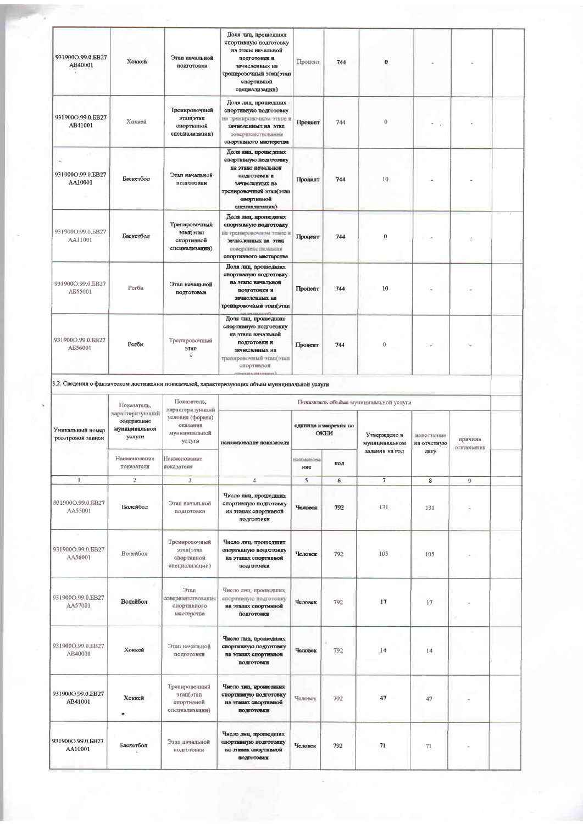| 931900O.99.0.EB27<br>AB40001          | Хоккей                                                   | Этап начальной<br>подготовки                                              | Доля лиц, прошедших<br>спортивную подготовку<br>на этапе начальной<br>подготовки и<br>зачисленных на<br>треннровочный этап(этап<br>спортивной<br>специализации)  | Процент          | 744                                 | $\bf{0}$                               |                           |                       |  |
|---------------------------------------|----------------------------------------------------------|---------------------------------------------------------------------------|------------------------------------------------------------------------------------------------------------------------------------------------------------------|------------------|-------------------------------------|----------------------------------------|---------------------------|-----------------------|--|
| 931900O.99.0.EB27<br>AB41001          | Хоккей                                                   | Тренировочный<br>пате)пате<br>спортивной<br>специализации)                | Доля лиц, прошедших<br>спортивную подготовку<br>на тренировочном этапе в<br>ЗЯЧИСЛСНИМ К Н.В ЭТАП.<br>оовершенствования<br>спортивного мастерства                | Процент          | 744                                 | $\boldsymbol{0}$                       |                           |                       |  |
| 931900O.99.0.EB27<br>AA10001          | Баскетбол                                                | Этап начальной<br>подготовки                                              | Доля лиц. прошедних<br>спортивную подготовку<br>на этапе начальной<br>подготовки и<br>зачисленных на<br>тренировочный этап(этап<br>свортивной<br>спетия чичаник) | Процент          | 744                                 | 10                                     |                           |                       |  |
| 931900O.99.0.EB27<br>AA11001          | Баскетбол                                                | Тренировочный<br>этап(этап<br>спортивной<br>специализации)                | Доля лиц, прошединк<br>спортивную водготовку<br>на тренировочном этапе и<br>зачисленных на этап<br>совершенотвования<br>спортивного мастерства                   | Процент          | 744                                 | $\Omega$                               |                           |                       |  |
| 931900O.99.0.EB27<br>AE55001          | Регби                                                    | Этап начальной<br>подготовки                                              | Доля лиц, пропієдших<br>спортнаную подготовку<br>на этале начальной<br>подготовки и<br>зачисленных на<br>треннровочный этац(этац                                 | Процент          | 744                                 | 10                                     |                           |                       |  |
| 931900O.99.0.EB27<br>A556001          | Регби                                                    | Тренировочный<br>nrre<br>舌                                                | Доля лиц. прошедших<br>спортивную подготовку<br>на этапе начальной<br>подготовки и<br>зачисленных на<br>тренировочный этап(этап<br>спортивной                    | Процент          | 744                                 | 0                                      |                           |                       |  |
|                                       |                                                          |                                                                           | 3.2. Сведения о фактическом достижении показателей, характеризующих объем муниципальной услуги                                                                   |                  |                                     |                                        |                           |                       |  |
|                                       | Показатель,                                              | Показатель,                                                               |                                                                                                                                                                  |                  |                                     | Показатель объёма муниципальной услуги |                           |                       |  |
| Уникальный номер<br>реестровой записи | характеризующий<br>содержание<br>муннципальной<br>услуги | характеризующий<br>условия (формы)<br>оказания<br>муниципальной<br>услуги | наименование показателя                                                                                                                                          |                  | единица измерения по<br><b>OKEM</b> | Утверждено в<br>муниципальном          | иополнение<br>на отчетную | причина<br>отклонения |  |
|                                       | Наименование<br>показателя                               | Наименование<br>показателя                                                |                                                                                                                                                                  | нанменова<br>ние | код                                 | задании на год                         | дату                      |                       |  |
| 1                                     | $\mathbf{2}$                                             | 3                                                                         | 4                                                                                                                                                                | 5                | 6                                   | $\overline{\tau}$                      | $\boldsymbol{8}$          | $\overline{9}$        |  |
| 931900O.99.0.EB27<br>AA55001          | Волейбол                                                 | Этап начальной<br>ПОДГОТОВКИ                                              | Число лиц, прошедших<br>спортивную подготовку<br>на этапах спортивной<br>ПОДГОГОВКИ                                                                              | Человек          | 792                                 | 131                                    | 131                       |                       |  |
| w<br>931900O.99.0.EB27<br>AA56001     | Волейбол                                                 | Тренировочный<br>этап(этап<br>спортивной<br>специализации)                | Число лиц, прошедших<br>спортнымую подготовку<br>на этацах спортивной<br>подготовки                                                                              | Человек          | 792                                 | 105                                    | 105                       |                       |  |
| 931900O.99.0.EB27<br>AA57001          | Волейбол                                                 | Этап<br>совершенствования<br>спортивного<br>мастерства                    | Число лиц, прошедших<br>спортнаную подготовку<br>на этапах спортивной<br>ПОДГОТОВКИ                                                                              | Человек          | 792                                 | 17                                     | 17                        |                       |  |
| 931900O.99.0.EB27<br>AB40001          | Хоккей                                                   | Этап начальной<br>подготовки                                              | Число лиц, прошедших<br>спортивную подготовку<br>на этапах спортивной<br>подготовки                                                                              | Человек          | 792                                 | $-14$                                  | 14                        |                       |  |
| 931900O 99.0.EB27<br>AB41001          | Хоккей<br>٠                                              | Тренировочный<br>этап(этап<br>спортивной<br>специализации)                | Число лиц, кроне даних<br>спортнымую подготовку<br>на этаких свортивной<br><b>HOMPOTOBER</b>                                                                     | Человек          | 792                                 | 47                                     | 47                        |                       |  |
| 931900O.99.0.EB27<br>AA10001          | Баскетбол                                                | Этап начальной<br>подготовки                                              | Число лиц. прошедших<br>спортивную подготовку<br>на этапих спортивной<br><b>ВОДГОТОВКИ</b>                                                                       | Человек          | 792                                 | 71                                     | 71                        |                       |  |